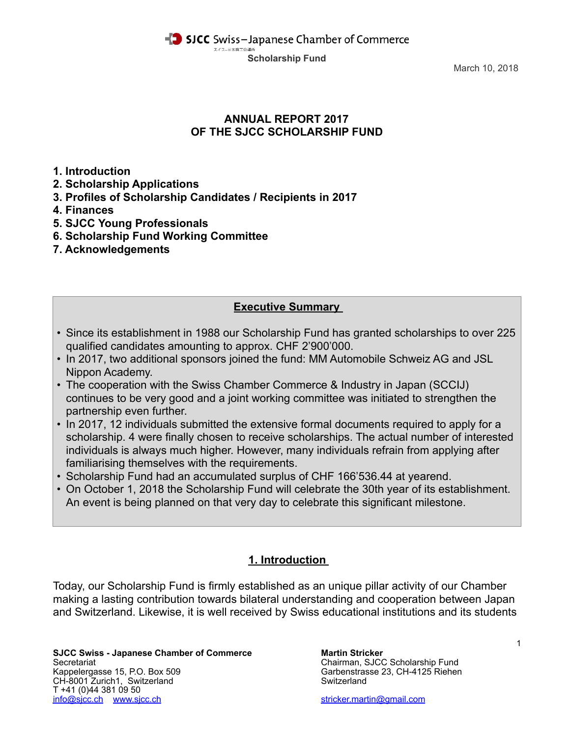March 10, 2018

## **ANNUAL REPORT 2017 OF THE SJCC SCHOLARSHIP FUND**

**1. Introduction** 

- **2. Scholarship Applications**
- **3. Profiles of Scholarship Candidates / Recipients in 2017**
- **4. Finances**
- **5. SJCC Young Professionals**
- **6. Scholarship Fund Working Committee**
- **7. Acknowledgements**

## **Executive Summary**

- Since its establishment in 1988 our Scholarship Fund has granted scholarships to over 225 qualified candidates amounting to approx. CHF 2'900'000.
- In 2017, two additional sponsors joined the fund: MM Automobile Schweiz AG and JSL Nippon Academy.
- The cooperation with the Swiss Chamber Commerce & Industry in Japan (SCCIJ) continues to be very good and a joint working committee was initiated to strengthen the partnership even further.
- In 2017, 12 individuals submitted the extensive formal documents required to apply for a scholarship. 4 were finally chosen to receive scholarships. The actual number of interested individuals is always much higher. However, many individuals refrain from applying after familiarising themselves with the requirements.
- Scholarship Fund had an accumulated surplus of CHF 166'536.44 at yearend.
- On October 1, 2018 the Scholarship Fund will celebrate the 30th year of its establishment. An event is being planned on that very day to celebrate this significant milestone.

## **1. Introduction**

Today, our Scholarship Fund is firmly established as an unique pillar activity of our Chamber making a lasting contribution towards bilateral understanding and cooperation between Japan and Switzerland. Likewise, it is well received by Swiss educational institutions and its students

**SJCC Swiss - Japanese Chamber of Commerce Martin Stricker** Secretariat Chairman, SJCC Scholarship Fund Kappelergasse 15, P.O. Box 509 Garbenstrasse 23, CH-4125 Riehen (CH-8001 Zurich1. Switzerland CH-8001 Zurich1. CH-8001 Zurich1, Switzerland T +41 (0)44 381 09 50 [info@sjcc.ch](mailto:info@sjcc.ch) [www.sjcc.ch](http://www.sjcc.ch) [stricker.martin@gmail.com](mailto:stricker.martin@gmail.com)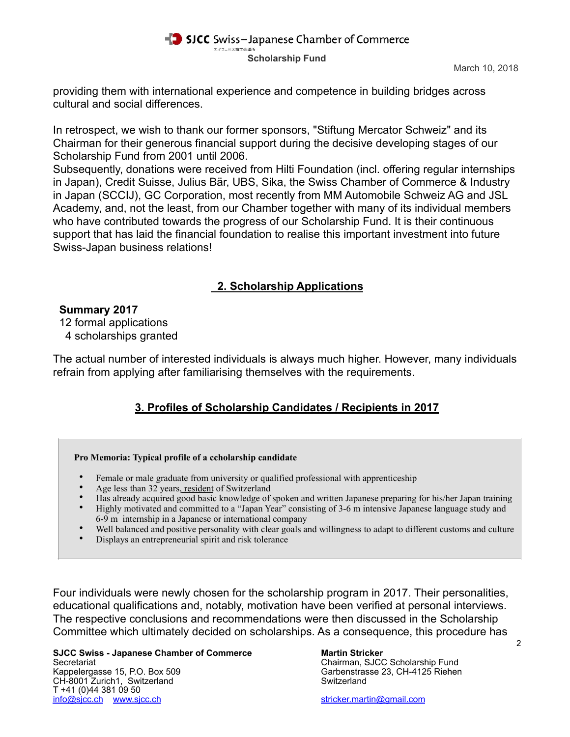providing them with international experience and competence in building bridges across cultural and social differences.

In retrospect, we wish to thank our former sponsors, "Stiftung Mercator Schweiz" and its Chairman for their generous financial support during the decisive developing stages of our Scholarship Fund from 2001 until 2006.

Subsequently, donations were received from Hilti Foundation (incl. offering regular internships in Japan), Credit Suisse, Julius Bär, UBS, Sika, the Swiss Chamber of Commerce & Industry in Japan (SCCIJ), GC Corporation, most recently from MM Automobile Schweiz AG and JSL Academy, and, not the least, from our Chamber together with many of its individual members who have contributed towards the progress of our Scholarship Fund. It is their continuous support that has laid the financial foundation to realise this important investment into future Swiss-Japan business relations!

# **2. Scholarship Applications**

## **Summary 2017**

12 formal applications

4 scholarships granted

The actual number of interested individuals is always much higher. However, many individuals refrain from applying after familiarising themselves with the requirements.

# **3. Profiles of Scholarship Candidates / Recipients in 2017**

### **Pro Memoria: Typical profile of a ccholarship candidate**

- Female or male graduate from university or qualified professional with apprenticeship
- Age less than 32 years, resident of Switzerland
- Has already acquired good basic knowledge of spoken and written Japanese preparing for his/her Japan training
- Highly motivated and committed to a "Japan Year" consisting of 3-6 m intensive Japanese language study and 6-9 m internship in a Japanese or international company
- Well balanced and positive personality with clear goals and willingness to adapt to different customs and culture
- Displays an entrepreneurial spirit and risk tolerance

Four individuals were newly chosen for the scholarship program in 2017. Their personalities, educational qualifications and, notably, motivation have been verified at personal interviews. The respective conclusions and recommendations were then discussed in the Scholarship Committee which ultimately decided on scholarships. As a consequence, this procedure has

**SJCC Swiss - Japanese Chamber of Commerce Martin Stricker<br>Secretariat Chairman, SJCC** Kappelergasse 15, P.O. Box 509 Garbenstrasse 23, CH-4125 Riehen<br>CH-8001 Zurich1. Switzerland Switzerland CH-8001 Zurich1, Switzerland T +41 (0)44 381 09 50 [info@sjcc.ch](mailto:info@sjcc.ch) [www.sjcc.ch](http://www.sjcc.ch) [stricker.martin@gmail.com](mailto:stricker.martin@gmail.com)

Chairman, SJCC Scholarship Fund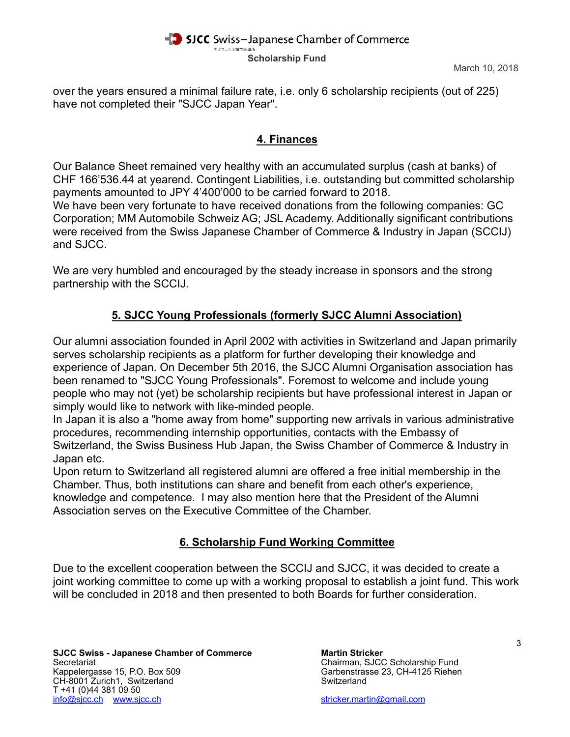over the years ensured a minimal failure rate, i.e. only 6 scholarship recipients (out of 225) have not completed their "SJCC Japan Year".

## **4. Finances**

Our Balance Sheet remained very healthy with an accumulated surplus (cash at banks) of CHF 166'536.44 at yearend. Contingent Liabilities, i.e. outstanding but committed scholarship payments amounted to JPY 4'400'000 to be carried forward to 2018.

We have been very fortunate to have received donations from the following companies: GC Corporation; MM Automobile Schweiz AG; JSL Academy. Additionally significant contributions were received from the Swiss Japanese Chamber of Commerce & Industry in Japan (SCCIJ) and SJCC.

We are very humbled and encouraged by the steady increase in sponsors and the strong partnership with the SCCIJ.

# **5. SJCC Young Professionals (formerly SJCC Alumni Association)**

Our alumni association founded in April 2002 with activities in Switzerland and Japan primarily serves scholarship recipients as a platform for further developing their knowledge and experience of Japan. On December 5th 2016, the SJCC Alumni Organisation association has been renamed to "SJCC Young Professionals". Foremost to welcome and include young people who may not (yet) be scholarship recipients but have professional interest in Japan or simply would like to network with like-minded people.

In Japan it is also a "home away from home" supporting new arrivals in various administrative procedures, recommending internship opportunities, contacts with the Embassy of Switzerland, the Swiss Business Hub Japan, the Swiss Chamber of Commerce & Industry in Japan etc.

Upon return to Switzerland all registered alumni are offered a free initial membership in the Chamber. Thus, both institutions can share and benefit from each other's experience, knowledge and competence. I may also mention here that the President of the Alumni Association serves on the Executive Committee of the Chamber.

# **6. Scholarship Fund Working Committee**

Due to the excellent cooperation between the SCCIJ and SJCC, it was decided to create a joint working committee to come up with a working proposal to establish a joint fund. This work will be concluded in 2018 and then presented to both Boards for further consideration.

**SJCC Swiss - Japanese Chamber of Commerce Martin Stricker Martin Stricker**<br>Secretariat Chairman, SJCC Kappelergasse 15, P.O. Box 509 Garbenstrasse 23, CH-4125 Riehen (CH-8001 Zurich1. Switzerland CH-8001 Zurich1. CH-8001 Zurich1, Switzerland T +41 (0)44 381 09 50 [info@sjcc.ch](mailto:info@sjcc.ch) [www.sjcc.ch](http://www.sjcc.ch) [stricker.martin@gmail.com](mailto:stricker.martin@gmail.com)

Chairman, SJCC Scholarship Fund